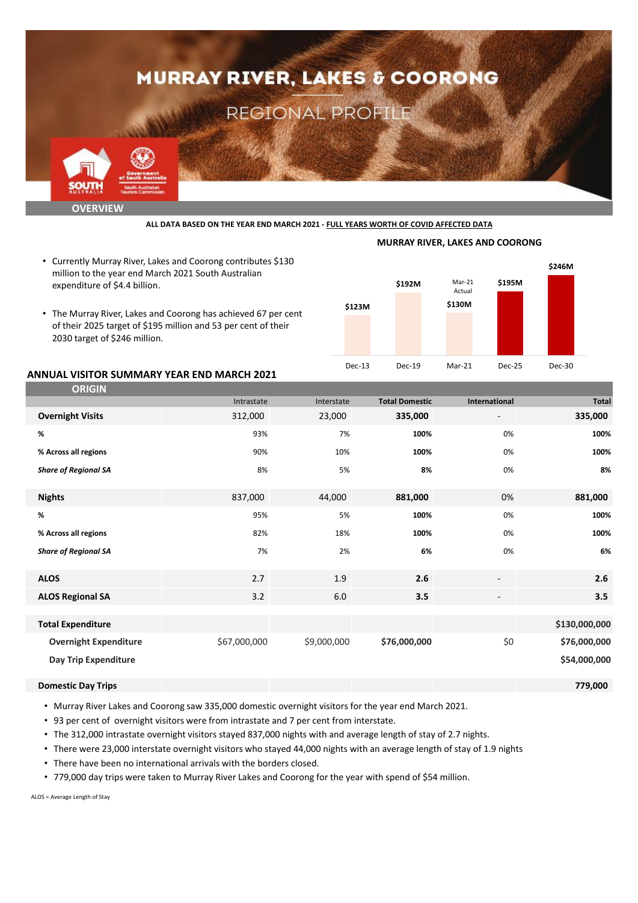

**ALL DATA BASED ON THE YEAR END MARCH 2021 - FULL YEARS WORTH OF COVID AFFECTED DATA**

- Currently Murray River, Lakes and Coorong contributes \$130 million to the year end March 2021 South Australian expenditure of \$4.4 billion.
- The Murray River, Lakes and Coorong has achieved 67 per cent of their 2025 target of \$195 million and 53 per cent of their 2030 target of \$246 million.



**MURRAY RIVER, LAKES AND COORONG**

### **ANNUAL VISITOR SUMMARY YEAR END MARCH 2021**

| <b>ORIGIN</b>                |              |             |                       |                          |               |
|------------------------------|--------------|-------------|-----------------------|--------------------------|---------------|
|                              | Intrastate   | Interstate  | <b>Total Domestic</b> | International            | <b>Total</b>  |
| <b>Overnight Visits</b>      | 312,000      | 23,000      | 335,000               | $\overline{\phantom{a}}$ | 335,000       |
| %                            | 93%          | 7%          | 100%                  | 0%                       | 100%          |
| % Across all regions         | 90%          | 10%         | 100%                  | 0%                       | 100%          |
| <b>Share of Regional SA</b>  | 8%           | 5%          | 8%                    | 0%                       | 8%            |
| <b>Nights</b>                | 837,000      | 44,000      | 881,000               | 0%                       | 881,000       |
| %                            | 95%          | 5%          | 100%                  | 0%                       | 100%          |
| % Across all regions         | 82%          | 18%         | 100%                  | 0%                       | 100%          |
| <b>Share of Regional SA</b>  | 7%           | 2%          | 6%                    | 0%                       | 6%            |
| <b>ALOS</b>                  | 2.7          | 1.9         | 2.6                   | $\overline{\phantom{a}}$ | 2.6           |
| <b>ALOS Regional SA</b>      | 3.2          | 6.0         | 3.5                   | $\overline{\phantom{a}}$ | 3.5           |
|                              |              |             |                       |                          |               |
| <b>Total Expenditure</b>     |              |             |                       |                          | \$130,000,000 |
| <b>Overnight Expenditure</b> | \$67,000,000 | \$9,000,000 | \$76,000,000          | \$0                      | \$76,000,000  |
| Day Trip Expenditure         |              |             |                       |                          | \$54,000,000  |
| <b>Domestic Day Trips</b>    |              |             |                       |                          | 779,000       |

• Murray River Lakes and Coorong saw 335,000 domestic overnight visitors for the year end March 2021.

• 93 per cent of overnight visitors were from intrastate and 7 per cent from interstate.

• The 312,000 intrastate overnight visitors stayed 837,000 nights with and average length of stay of 2.7 nights.

• There were 23,000 interstate overnight visitors who stayed 44,000 nights with an average length of stay of 1.9 nights

- There have been no international arrivals with the borders closed.
- 779,000 day trips were taken to Murray River Lakes and Coorong for the year with spend of \$54 million.

ALOS = Average Length of Stay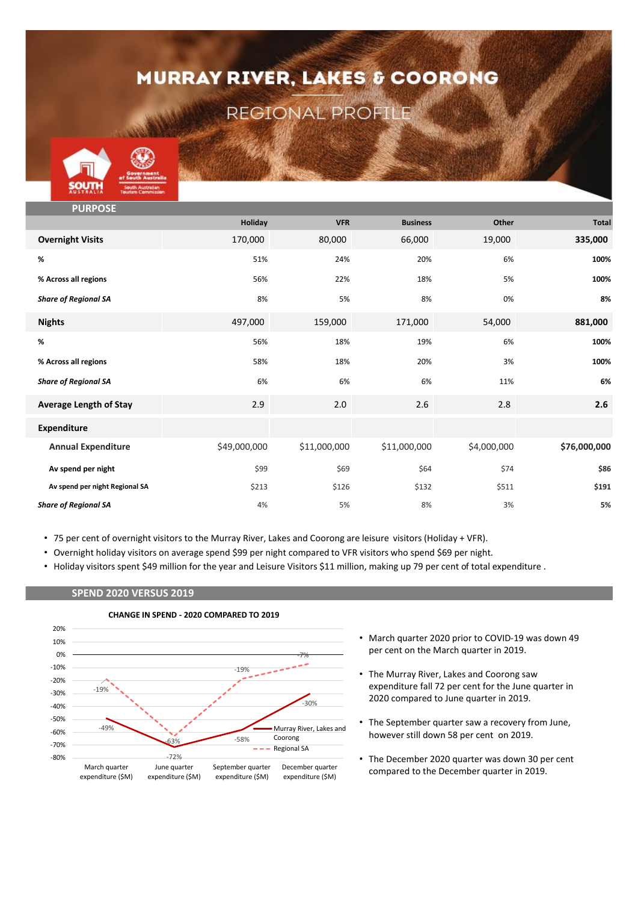# **MURRAY RIVER, LAKES & COORONG**

### REGIONAL PROFILE



| <b>PURPOSE</b>                 |              |              |                 |             |              |
|--------------------------------|--------------|--------------|-----------------|-------------|--------------|
|                                | Holiday      | <b>VFR</b>   | <b>Business</b> | Other       | <b>Total</b> |
| <b>Overnight Visits</b>        | 170,000      | 80,000       | 66,000          | 19,000      | 335,000      |
| %                              | 51%          | 24%          | 20%             | 6%          | 100%         |
| % Across all regions           | 56%          | 22%          | 18%             | 5%          | 100%         |
| <b>Share of Regional SA</b>    | 8%           | 5%           | 8%              | 0%          | 8%           |
| <b>Nights</b>                  | 497,000      | 159,000      | 171,000         | 54,000      | 881,000      |
| %                              | 56%          | 18%          | 19%             | 6%          | 100%         |
| % Across all regions           | 58%          | 18%          | 20%             | 3%          | 100%         |
| <b>Share of Regional SA</b>    | 6%           | 6%           | 6%              | 11%         | 6%           |
| <b>Average Length of Stay</b>  | 2.9          | 2.0          | 2.6             | 2.8         | 2.6          |
| <b>Expenditure</b>             |              |              |                 |             |              |
| <b>Annual Expenditure</b>      | \$49,000,000 | \$11,000,000 | \$11,000,000    | \$4,000,000 | \$76,000,000 |
| Av spend per night             | \$99         | \$69         | \$64            | \$74        | \$86         |
| Av spend per night Regional SA | \$213        | \$126        | \$132           | \$511       | \$191        |
| <b>Share of Regional SA</b>    | 4%           | 5%           | 8%              | 3%          | 5%           |

- 75 per cent of overnight visitors to the Murray River, Lakes and Coorong are leisure visitors (Holiday + VFR).
- Overnight holiday visitors on average spend \$99 per night compared to VFR visitors who spend \$69 per night.
- Holiday visitors spent \$49 million for the year and Leisure Visitors \$11 million, making up 79 per cent of total expenditure .

### **SPEND 2020 VERSUS 2019**



- **CHANGE IN SPEND - 2020 COMPARED TO 2019**
- March quarter 2020 prior to COVID-19 was down 49 per cent on the March quarter in 2019.
- The Murray River, Lakes and Coorong saw expenditure fall 72 per cent for the June quarter in 2020 compared to June quarter in 2019.
- The September quarter saw a recovery from June, however still down 58 per cent on 2019.
- The December 2020 quarter was down 30 per cent compared to the December quarter in 2019.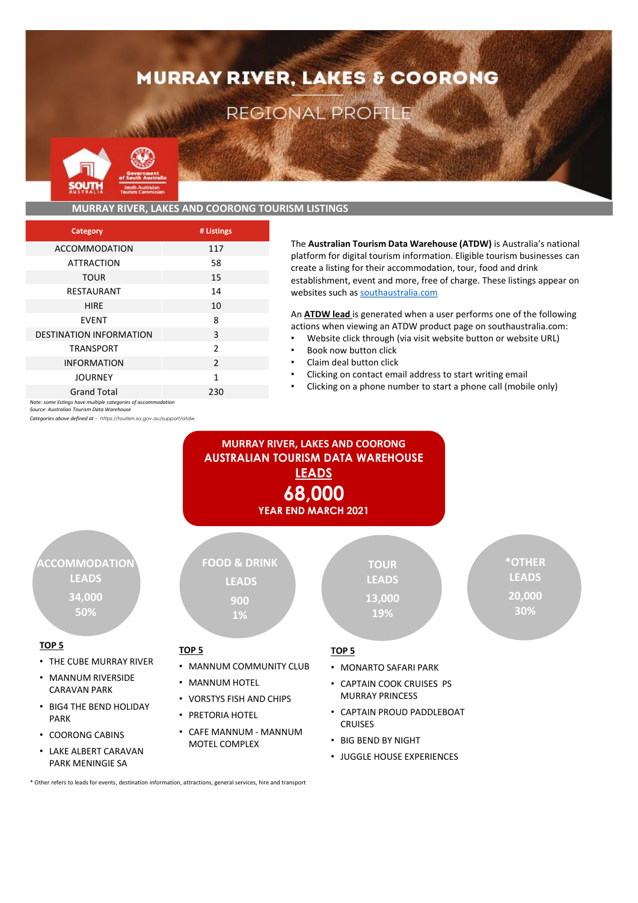# **MURRAY RIVER, LAKES & COORONG**

### REGIONAL PROFILE



### **MURRAY RIVER, LAKES AND COORONG TOURISM LISTINGS**

| Category                       | # Listings     |
|--------------------------------|----------------|
| <b>ACCOMMODATION</b>           | 117            |
| <b>ATTRACTION</b>              | 58             |
| <b>TOUR</b>                    | 15             |
| RESTAURANT                     | 14             |
| <b>HIRE</b>                    | 10             |
| <b>FVFNT</b>                   | 8              |
| <b>DESTINATION INFORMATION</b> | 3              |
| <b>TRANSPORT</b>               | $\overline{2}$ |
| <b>INFORMATION</b>             | $\mathcal{P}$  |
| <b>JOURNEY</b>                 | 1              |
| <b>Grand Total</b>             | 230            |

*Note: some listings have multiple categories of accommodation*

PARK MENINGIE SA

*Source: Australian Tourism Data Warehouse*

*Categories above defined at - https://tourism.sa.gov.au/support/atdw*

The **Australian Tourism Data Warehouse (ATDW)** is Australia's national platform for digital tourism information. Eligible tourism businesses can create a listing for their accommodation, tour, food and drink establishment, event and more, free of charge. These listings appear on websites such as southaustralia.com

An **ATDW lead** is generated when a user performs one of the following actions when viewing an ATDW product page on southaustralia.com:

- Website click through (via visit website button or website URL)
- Book now button click
- Claim deal button click
- Clicking on contact email address to start writing email
- Clicking on a phone number to start a phone call (mobile only)



\* Other refers to leads for events, destination information, attractions, general services, hire and transport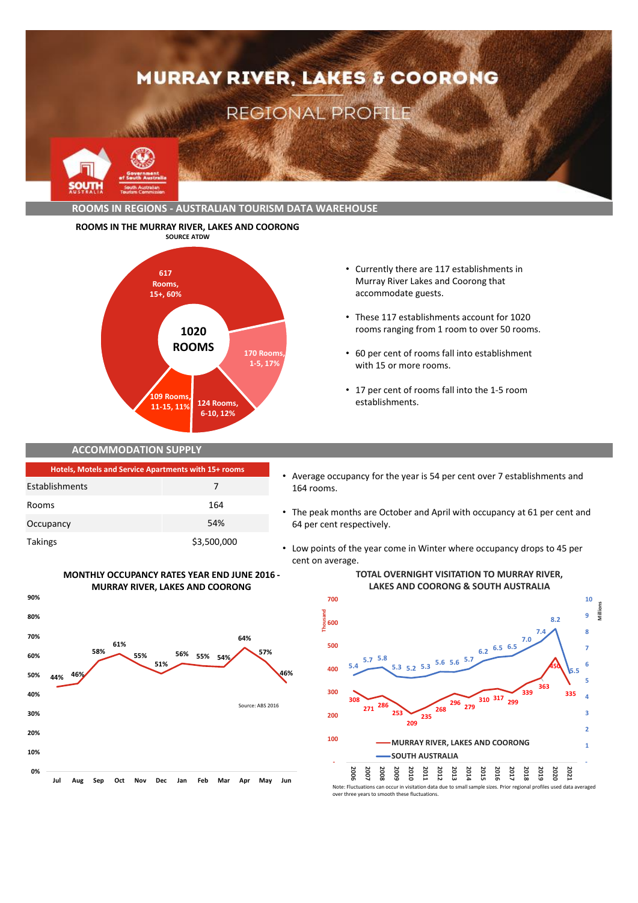

### **ROOMS IN THE MURRAY RIVER, LAKES AND COORONG**



- Currently there are 117 establishments in Murray River Lakes and Coorong that accommodate guests.
- These 117 establishments account for 1020 rooms ranging from 1 room to over 50 rooms.
- 60 per cent of rooms fall into establishment with 15 or more rooms.
- 17 per cent of rooms fall into the 1-5 room establishments.

### **ACCOMMODATION SUPPLY**

| <b>Hotels, Motels and Service Apartments with 15+ rooms</b> |             |  |
|-------------------------------------------------------------|-------------|--|
| Establishments                                              | 7           |  |
| Rooms                                                       | 164         |  |
| Occupancy                                                   | 54%         |  |
| Takings                                                     | \$3,500,000 |  |

**MONTHLY OCCUPANCY RATES YEAR END JUNE 2016 - MURRAY RIVER, LAKES AND COORONG**

**0% 10% 20% 30% 40% 50% 60% 70% 80% 90%**



- The peak months are October and April with occupancy at 61 per cent and 64 per cent respectively.
- Low points of the year come in Winter where occupancy drops to 45 per cent on average.



### **TOTAL OVERNIGHT VISITATION TO MURRAY RIVER, LAKES AND COORONG & SOUTH AUSTRALIA**

**8.2**

 **9 10**

**Millions**

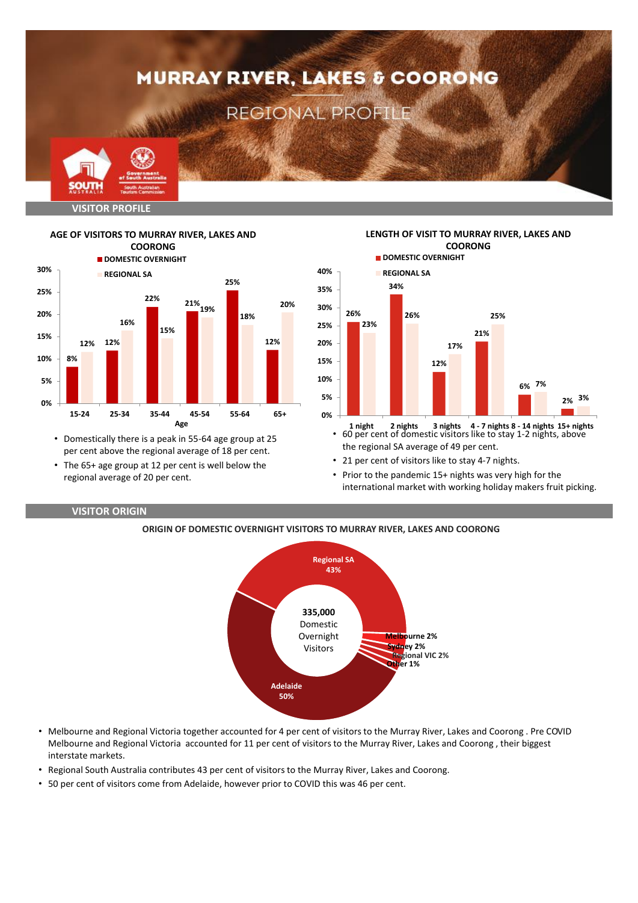



**AGE OF VISITORS TO MURRAY RIVER, LAKES AND** 

• Domestically there is a peak in 55-64 age group at 25

- per cent above the regional average of 18 per cent. • The 65+ age group at 12 per cent is well below the
- regional average of 20 per cent.



- **1 night 2 nights 3 nights 4 7 nights 8 14 nights 15+ nights** • 60 per cent of domestic visitors like to stay 1-2 nights, above the regional SA average of 49 per cent.
- 21 per cent of visitors like to stay 4-7 nights.
- Prior to the pandemic 15+ nights was very high for the international market with working holiday makers fruit picking.

### **VISITOR ORIGIN**

### **ORIGIN OF DOMESTIC OVERNIGHT VISITORS TO MURRAY RIVER, LAKES AND COORONG**



- Melbourne and Regional Victoria together accounted for 4 per cent of visitors to the Murray River, Lakes and Coorong . Pre COVID Melbourne and Regional Victoria accounted for 11 per cent of visitors to the Murray River, Lakes and Coorong , their biggest interstate markets.
- Regional South Australia contributes 43 per cent of visitors to the Murray River, Lakes and Coorong.
- 50 per cent of visitors come from Adelaide, however prior to COVID this was 46 per cent.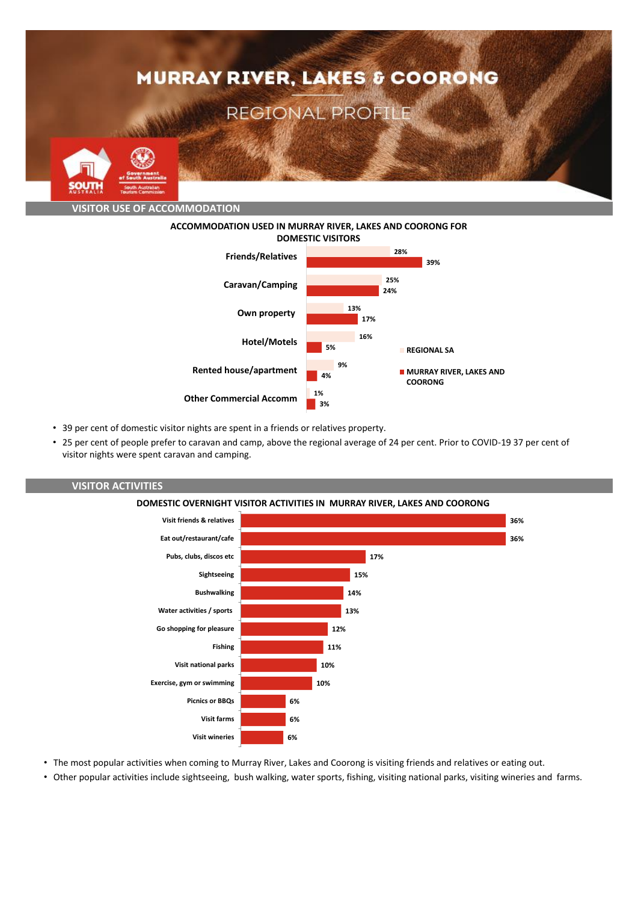

**ACCOMMODATION USED IN MURRAY RIVER, LAKES AND COORONG FOR DOMESTIC VISITORS**



- 39 per cent of domestic visitor nights are spent in a friends or relatives property.
- 25 per cent of people prefer to caravan and camp, above the regional average of 24 per cent. Prior to COVID-19 37 per cent of visitor nights were spent caravan and camping.



# **VISITOR ACTIVITIES**

- The most popular activities when coming to Murray River, Lakes and Coorong is visiting friends and relatives or eating out.
- Other popular activities include sightseeing, bush walking, water sports, fishing, visiting national parks, visiting wineries and farms.